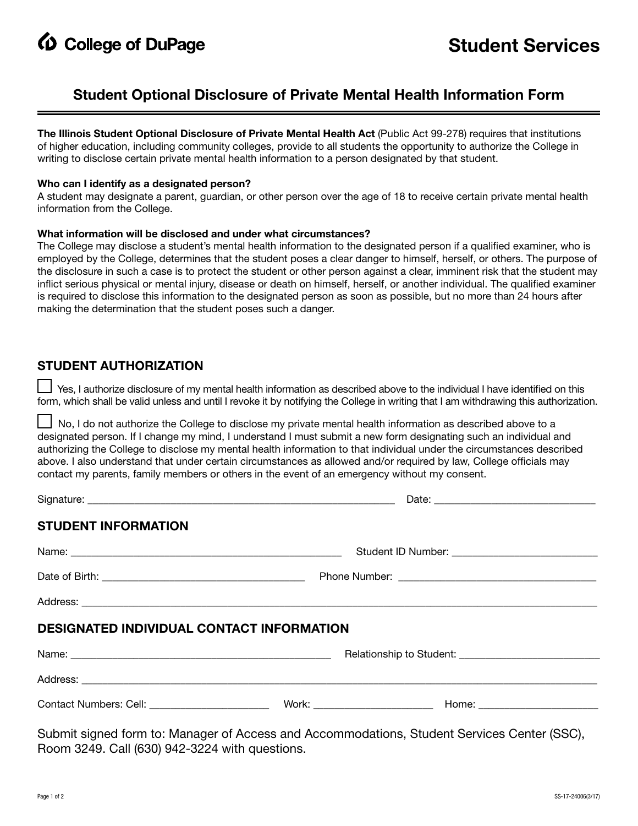**4** College of DuPage

## **Student Optional Disclosure of Private Mental Health Information Form**

**The Illinois Student Optional Disclosure of Private Mental Health Act** (Public Act 99-278) requires that institutions of higher education, including community colleges, provide to all students the opportunity to authorize the College in writing to disclose certain private mental health information to a person designated by that student.

#### **Who can I identify as a designated person?**

A student may designate a parent, guardian, or other person over the age of 18 to receive certain private mental health information from the College.

#### **What information will be disclosed and under what circumstances?**

The College may disclose a student's mental health information to the designated person if a qualified examiner, who is employed by the College, determines that the student poses a clear danger to himself, herself, or others. The purpose of the disclosure in such a case is to protect the student or other person against a clear, imminent risk that the student may inflict serious physical or mental injury, disease or death on himself, herself, or another individual. The qualified examiner is required to disclose this information to the designated person as soon as possible, but no more than 24 hours after making the determination that the student poses such a danger.

### **STUDENT AUTHORIZATION**

 Yes, I authorize disclosure of my mental health information as described above to the individual I have identified on this form, which shall be valid unless and until I revoke it by notifying the College in writing that I am withdrawing this authorization.

 No, I do not authorize the College to disclose my private mental health information as described above to a designated person. If I change my mind, I understand I must submit a new form designating such an individual and authorizing the College to disclose my mental health information to that individual under the circumstances described above. I also understand that under certain circumstances as allowed and/or required by law, College officials may contact my parents, family members or others in the event of an emergency without my consent.

| <b>STUDENT INFORMATION</b>                                                                  |  |  |  |
|---------------------------------------------------------------------------------------------|--|--|--|
|                                                                                             |  |  |  |
|                                                                                             |  |  |  |
|                                                                                             |  |  |  |
| <b>DESIGNATED INDIVIDUAL CONTACT INFORMATION</b>                                            |  |  |  |
|                                                                                             |  |  |  |
|                                                                                             |  |  |  |
|                                                                                             |  |  |  |
| Submit signed form to: Manager of Access and Accommodations, Student Services Center (SSC), |  |  |  |

Room 3249. Call (630) 942-3224 with questions.